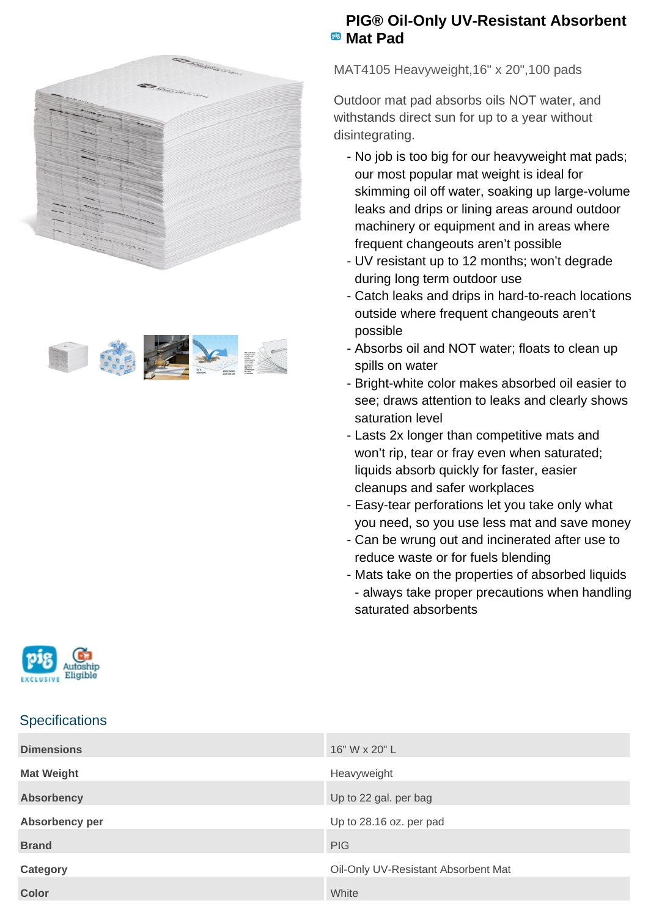



## **PIG® Oil-Only UV-Resistant Absorbent Mat Pad**

MAT4105 Heavyweight,16" x 20",100 pads

Outdoor mat pad absorbs oils NOT water, and withstands direct sun for up to a year without disintegrating.

- No job is too big for our heavyweight mat pads; our most popular mat weight is ideal for skimming oil off water, soaking up large-volume leaks and drips or lining areas around outdoor machinery or equipment and in areas where frequent changeouts aren't possible
- UV resistant up to 12 months; won't degrade during long term outdoor use
- Catch leaks and drips in hard-to-reach locations outside where frequent changeouts aren't possible
- Absorbs oil and NOT water; floats to clean up spills on water
- Bright-white color makes absorbed oil easier to see; draws attention to leaks and clearly shows saturation level
- Lasts 2x longer than competitive mats and won't rip, tear or fray even when saturated; liquids absorb quickly for faster, easier cleanups and safer workplaces
- Easy-tear perforations let you take only what you need, so you use less mat and save money
- Can be wrung out and incinerated after use to reduce waste or for fuels blending
- Mats take on the properties of absorbed liquids - always take proper precautions when handling saturated absorbents



## **Specifications**

| <b>Dimensions</b> | 16" W x 20" L                       |
|-------------------|-------------------------------------|
| <b>Mat Weight</b> | Heavyweight                         |
| <b>Absorbency</b> | Up to 22 gal. per bag               |
| Absorbency per    | Up to 28.16 oz. per pad             |
| <b>Brand</b>      | <b>PIG</b>                          |
| Category          | Oil-Only UV-Resistant Absorbent Mat |
| <b>Color</b>      | White                               |